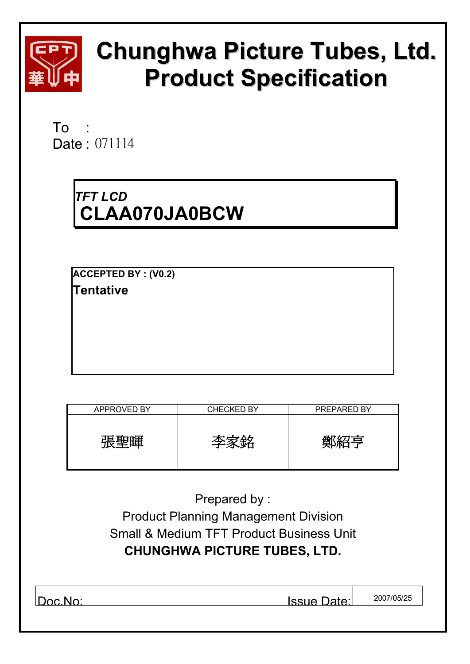

# **Chunghwa Picture Tubes, Ltd. Product Specification**

To : Date: 071114

# *TFT LCD*  **CLAA070JA0BCW**

**ACCEPTED BY : (V0.2) Tentative** 

| <b>APPROVED BY</b> | <b>CHECKED BY</b> | <b>PREPARED BY</b> |
|--------------------|-------------------|--------------------|
| 張聖暉                | 本安致               | 質似名写               |

| Prepared by:                                        |            |  |  |  |  |  |  |
|-----------------------------------------------------|------------|--|--|--|--|--|--|
| <b>Product Planning Management Division</b>         |            |  |  |  |  |  |  |
| <b>Small &amp; Medium TFT Product Business Unit</b> |            |  |  |  |  |  |  |
| <b>CHUNGHWA PICTURE TUBES, LTD.</b>                 |            |  |  |  |  |  |  |
|                                                     |            |  |  |  |  |  |  |
|                                                     |            |  |  |  |  |  |  |
| Issue Date:                                         | 2007/05/25 |  |  |  |  |  |  |
|                                                     |            |  |  |  |  |  |  |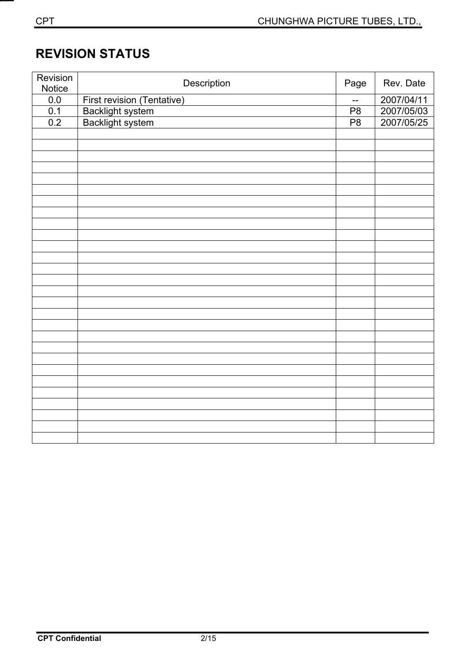# **REVISION STATUS**

| Revision         | Description                          | Page           | Rev. Date  |
|------------------|--------------------------------------|----------------|------------|
| Notice           |                                      |                |            |
| 0.0              | First revision (Tentative)           | $-$            | 2007/04/11 |
| $\overline{0.1}$ | Backlight system<br>Backlight system | P <sub>8</sub> | 2007/05/03 |
| 0.2              |                                      | P8             | 2007/05/25 |
|                  |                                      |                |            |
|                  |                                      |                |            |
|                  |                                      |                |            |
|                  |                                      |                |            |
|                  |                                      |                |            |
|                  |                                      |                |            |
|                  |                                      |                |            |
|                  |                                      |                |            |
|                  |                                      |                |            |
|                  |                                      |                |            |
|                  |                                      |                |            |
|                  |                                      |                |            |
|                  |                                      |                |            |
|                  |                                      |                |            |
|                  |                                      |                |            |
|                  |                                      |                |            |
|                  |                                      |                |            |
|                  |                                      |                |            |
|                  |                                      |                |            |
|                  |                                      |                |            |
|                  |                                      |                |            |
|                  |                                      |                |            |
|                  |                                      |                |            |
|                  |                                      |                |            |
|                  |                                      |                |            |
|                  |                                      |                |            |
|                  |                                      |                |            |
|                  |                                      |                |            |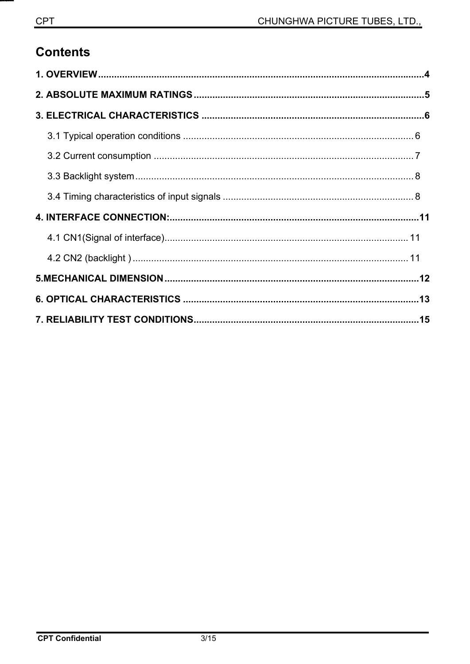# **Contents**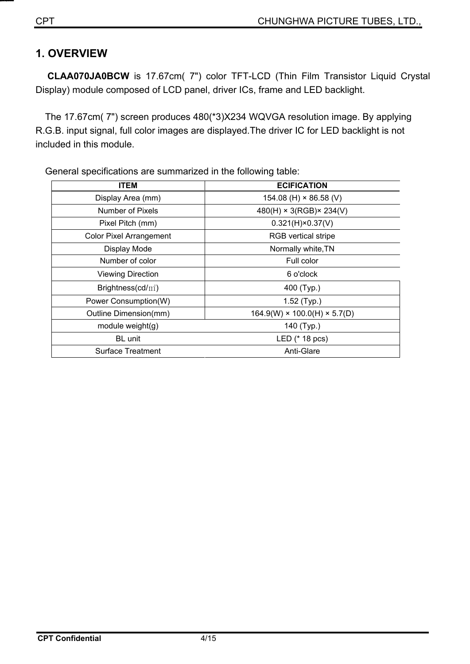## **1. OVERVIEW**

**CLAA070JA0BCW** is 17.67cm( 7") color TFT-LCD (Thin Film Transistor Liquid Crystal Display) module composed of LCD panel, driver ICs, frame and LED backlight.

The 17.67cm( 7") screen produces 480(\*3)X234 WQVGA resolution image. By applying R.G.B. input signal, full color images are displayed.The driver IC for LED backlight is not included in this module.

| <b>ITEM</b>                    | <b>ECIFICATION</b>                       |  |  |  |  |
|--------------------------------|------------------------------------------|--|--|--|--|
| Display Area (mm)              | 154.08 (H) $\times$ 86.58 (V)            |  |  |  |  |
| Number of Pixels               | $480(H) \times 3(RGB) \times 234(V)$     |  |  |  |  |
| Pixel Pitch (mm)               | $0.321(H) \times 0.37(V)$                |  |  |  |  |
| <b>Color Pixel Arrangement</b> | <b>RGB</b> vertical stripe               |  |  |  |  |
| Display Mode                   | Normally white, TN                       |  |  |  |  |
| Number of color                | Full color                               |  |  |  |  |
| <b>Viewing Direction</b>       | 6 o'clock                                |  |  |  |  |
| Brightness(cd/ $m2$ )          | 400 (Typ.)                               |  |  |  |  |
| Power Consumption(W)           | $1.52$ (Typ.)                            |  |  |  |  |
| Outline Dimension(mm)          | $164.9(W) \times 100.0(H) \times 5.7(D)$ |  |  |  |  |
| module weight(g)               | 140 (Typ.)                               |  |  |  |  |
| <b>BL</b> unit                 | LED (* 18 pcs)                           |  |  |  |  |
| <b>Surface Treatment</b>       | Anti-Glare                               |  |  |  |  |

General specifications are summarized in the following table: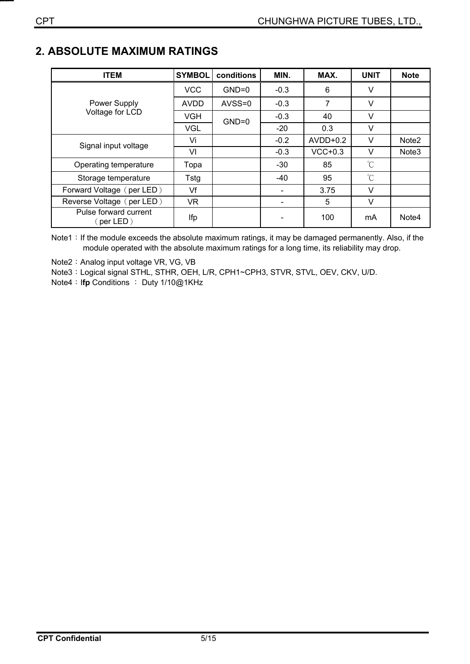## **2. ABSOLUTE MAXIMUM RATINGS**

| <b>ITEM</b>                            | <b>SYMBOL</b> | conditions | MIN.                     | MAX.       | <b>UNIT</b> | <b>Note</b>       |
|----------------------------------------|---------------|------------|--------------------------|------------|-------------|-------------------|
|                                        | <b>VCC</b>    | $GND=0$    | $-0.3$                   | 6          | V           |                   |
| <b>Power Supply</b><br>Voltage for LCD | <b>AVDD</b>   | $AVSS=0$   | $-0.3$                   | 7          | v           |                   |
|                                        | <b>VGH</b>    | $GND=0$    | $-0.3$                   | 40         | V           |                   |
|                                        | VGL           |            | $-20$                    | 0.3        | $\vee$      |                   |
| Signal input voltage                   | Vi            |            | $-0.2$                   | $AVDD+0.2$ | v           | Note <sub>2</sub> |
|                                        | VI            |            | $-0.3$                   | $VCC+0.3$  | v           | Note <sub>3</sub> |
| Operating temperature                  | Topa          |            | $-30$                    | 85         | $^{\circ}C$ |                   |
| Storage temperature                    | Tstg          |            | $-40$                    | 95         | $^{\circ}C$ |                   |
| Forward Voltage (per LED)              | Vf            |            |                          | 3.75       | v           |                   |
| Reverse Voltage (per LED)              | <b>VR</b>     |            | $\overline{\phantom{0}}$ | 5          | v           |                   |
| Pulse forward current<br>(per LED)     | Ifp           |            |                          | 100        | mA          | Note4             |

Note1: If the module exceeds the absolute maximum ratings, it may be damaged permanently. Also, if the module operated with the absolute maximum ratings for a long time, its reliability may drop.

Note2: Analog input voltage VR, VG, VB

Note3: Logical signal STHL, STHR, OEH, L/R, CPH1~CPH3, STVR, STVL, OEV, CKV, U/D.

**Note4 : Ifp Conditions : Duty 1/10@1KHz**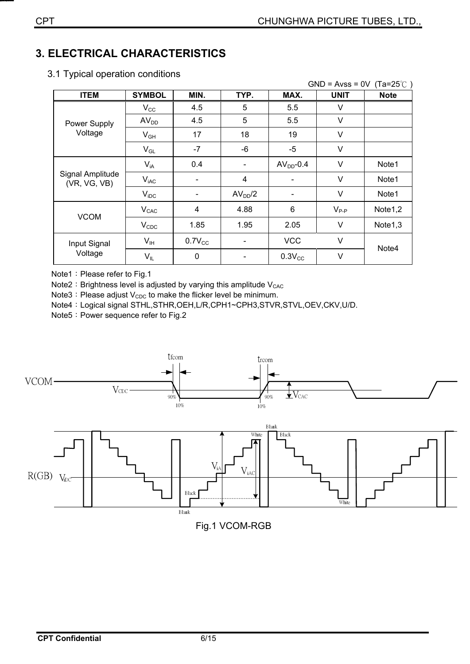## **3. ELECTRICAL CHARACTERISTICS**

|                                  |                  |                |                     |              | $GND = Avss = 0V$ | $(Ta=25^{\circ}$ |
|----------------------------------|------------------|----------------|---------------------|--------------|-------------------|------------------|
| <b>ITEM</b>                      | <b>SYMBOL</b>    | MIN.           | TYP.                | MAX.         | <b>UNIT</b>       | <b>Note</b>      |
|                                  | $V_{\rm CC}$     | 4.5            | 5                   | 5.5          | V                 |                  |
| Power Supply                     | AV <sub>DD</sub> | 4.5            | 5                   | 5.5          | V                 |                  |
| Voltage                          | $V_{GH}$         | 17             | 18                  | 19           | V                 |                  |
|                                  | $V_{GL}$         | $-7$           | $-6$                | $-5$         | V                 |                  |
| Signal Amplitude<br>(VR, VG, VB) | $V_{iA}$         | 0.4            |                     | $AVDD - 0.4$ | V                 | Note1            |
|                                  | $V_{iAC}$        |                | 4                   |              | V                 | Note1            |
|                                  | $V_{\text{IDC}}$ |                | AV <sub>DD</sub> /2 |              | V                 | Note1            |
|                                  | $V_{CAC}$        | $\overline{4}$ | 4.88                | 6            | $V_{P-P}$         | Note1,2          |
| <b>VCOM</b>                      | $V_{CDC}$        | 1.85           | 1.95                | 2.05         | V                 | Note1,3          |
| Input Signal                     | $V_{IH}$         | $0.7V_{CC}$    |                     | <b>VCC</b>   | V                 |                  |
| Voltage                          | $V_{IL}$         | 0              |                     | $0.3V_{CC}$  | V                 | Note4            |

3.1 Typical operation conditions

Note1: Please refer to Fig.1

Note2: Brightness level is adjusted by varying this amplitude  $V_{CAC}$ 

Note3: Please adjust  $V_{CDC}$  to make the flicker level be minimum.

Note4: Logical signal STHL,STHR,OEH,L/R,CPH1~CPH3,STVR,STVL,OEV,CKV,U/D.

Note5: Power sequence refer to Fig.2



Fig.1 VCOM-RGB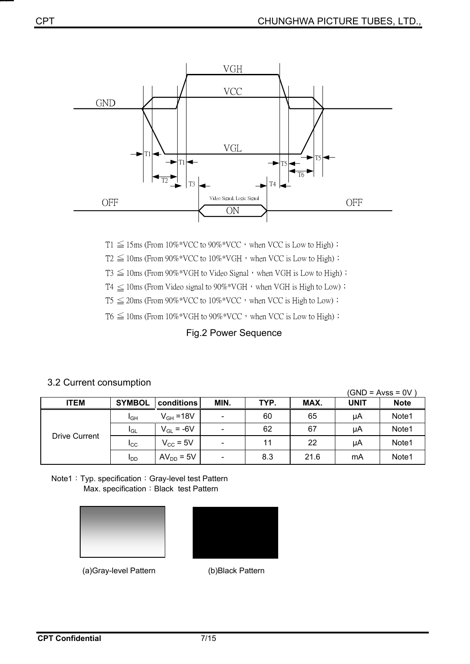

 $T1 \leq 15$ ms (From  $10\%$ <sup>\*</sup>VCC to  $90\%$ <sup>\*</sup>VCC</sub>, when VCC is Low to High) ;

 $T2 \leq 10$ ms (From 90%\*VCC to  $10\%$ \*VGH, when VCC is Low to High);

 $T3 \leq 10$ ms (From 90%\*VGH to Video Signal  $\cdot$  when VGH is Low to High) ;

 $T4 \leq 10$ ms (From Video signal to 90%\*VGH, when VGH is High to Low) ;

 $T5 \leq 20$ ms (From  $90\%^*VCC$  to  $10\%^*VCC$ , when VCC is High to Low) ;

 $T6 \leq 10$ ms (From  $10\%$ <sup>\*</sup>VGH to  $90\%$ <sup>\*</sup>VCC</sub>, when VCC is Low to High) ;

#### Fig.2 Power Sequence

# 3.2 Current consumption (GND = Avss = 0V )

| <b>ITEM</b>   | <b>SYMBOL</b>   | conditions           | MIN.                         | TYP. | MAX. | UNIT | <b>Note</b> |
|---------------|-----------------|----------------------|------------------------------|------|------|------|-------------|
| Drive Current | $I_{GH}$        | $V_{GH} = 18V$       | $\qquad \qquad \blacksquare$ | 60   | 65   | μA   | Note1       |
|               | IGL             | $V_{GL} = -6V$       | $\overline{\phantom{0}}$     | 62   | 67   | μA   | Note1       |
|               | <b>I</b> cc     | $V_{\text{CC}}$ = 5V | $\qquad \qquad \blacksquare$ | 11   | 22   | μA   | Note1       |
|               | I <sub>DD</sub> | $AV_{DD} = 5V$       | $\overline{\phantom{0}}$     | 8.3  | 21.6 | mA   | Note1       |

Note1: Typ. specification: Gray-level test Pattern Max. specification: Black test Pattern





ʳʳʳʳʳʳʳʳʳʳʳʳʳʳʳʳʳʳʳʳʳʳʳ(a)Gray-level Pattern (b)Black Pattern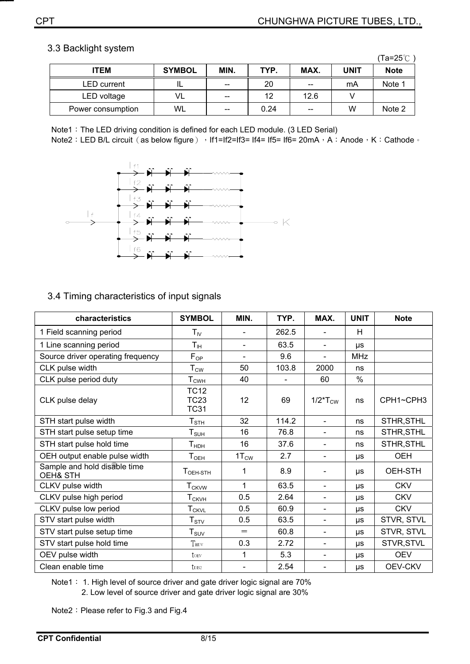#### 3.3 Backlight system

|                    |               |       |      |       |      | (Ta=25℃     |
|--------------------|---------------|-------|------|-------|------|-------------|
| <b>ITEM</b>        | <b>SYMBOL</b> | MIN.  | TYP. | MAX.  | UNIT | <b>Note</b> |
| <b>LED</b> current |               | $- -$ | 20   | $- -$ | mA   | Note 1      |
| LED voltage        | VL            | $- -$ | 12   | 12.6  |      |             |
| Power consumption  | WL            | $- -$ | 0.24 | $- -$ | W    | Note 2      |

Note1: The LED driving condition is defined for each LED module. (3 LED Serial)

Note2: LED B/L circuit (as below figure) → If1=If2=If3= If4= If5= If6= 20mA → A: Anode → K: Cathode →



#### 3.4 Timing characteristics of input signals

| characteristics                          | <b>SYMBOL</b>                                 | MIN.             | TYP.  | MAX.                         | <b>UNIT</b> | <b>Note</b>    |
|------------------------------------------|-----------------------------------------------|------------------|-------|------------------------------|-------------|----------------|
| 1 Field scanning period                  | $T_{IV}$                                      |                  | 262.5 | $\overline{\phantom{a}}$     | H           |                |
| 1 Line scanning period                   | $\mathsf{T}_{\mathsf{IH}}$                    |                  | 63.5  | $\overline{\phantom{a}}$     | μs          |                |
| Source driver operating frequency        | $F_{OP}$                                      | $\blacksquare$   | 9.6   | $\overline{\phantom{a}}$     | <b>MHz</b>  |                |
| CLK pulse width                          | $\mathsf{T}_{\mathsf{CW}}$                    | 50               | 103.8 | 2000                         | ns          |                |
| CLK pulse period duty                    | ${\sf T}_{\sf CWH}$                           | 40               |       | 60                           | $\%$        |                |
| CLK pulse delay                          | <b>TC12</b><br><b>TC23</b><br><b>TC31</b>     | 12               | 69    | $1/2$ <sup>*</sup> $T_{CW}$  | ns          | CPH1~CPH3      |
| STH start pulse width                    | ${\sf T}_{\sf STH}$                           | 32               | 114.2 | $\blacksquare$               | ns          | STHR, STHL     |
| STH start pulse setup time               | $T_{\text{SUH}}$                              | 16               | 76.8  | $\blacksquare$               | ns          | STHR, STHL     |
| STH start pulse hold time                | $\mathsf{T}_{\mathsf{H}\mathsf{D}\mathsf{H}}$ | 16               | 37.6  | $\qquad \qquad \blacksquare$ | ns          | STHR, STHL     |
| OEH output enable pulse width            | ${\mathsf T}_{\mathsf{OEH}}$                  | $1T_{\text{CW}}$ | 2.7   | $\overline{\phantom{a}}$     | <b>US</b>   | <b>OEH</b>     |
| Sample and hold disable time<br>OEH& STH | $TOEH-STH$                                    | 1                | 8.9   | $\qquad \qquad \blacksquare$ | μs          | OEH-STH        |
| CLKV pulse width                         | <b>T</b> <sub>CKVW</sub>                      | 1                | 63.5  | $\qquad \qquad \blacksquare$ | <b>US</b>   | <b>CKV</b>     |
| CLKV pulse high period                   | $T_{CKVH}$                                    | 0.5              | 2.64  | $\qquad \qquad \blacksquare$ | μs          | <b>CKV</b>     |
| CLKV pulse low period                    | $T_{CKVL}$                                    | 0.5              | 60.9  | $\overline{\phantom{a}}$     | <b>US</b>   | <b>CKV</b>     |
| STV start pulse width                    | ${\sf T}_{\sf STV}$                           | 0.5              | 63.5  | $\overline{\phantom{a}}$     | $\mu s$     | STVR, STVL     |
| STV start pulse setup time               | ${\sf T}_{\sf SUV}$                           | $=$              | 60.8  | $\overline{\phantom{0}}$     | μs          | STVR, STVL     |
| STV start pulse hold time                | THDV                                          | 0.3              | 2.72  | $\qquad \qquad \blacksquare$ | μs          | STVR, STVL     |
| OEV pulse width                          | toev                                          | 1                | 5.3   | $\qquad \qquad \blacksquare$ | μs          | <b>OEV</b>     |
| Clean enable time                        | t <sub>DIS2</sub>                             |                  | 2.54  | $\qquad \qquad \blacksquare$ | μs          | <b>OEV-CKV</b> |

Note1: 1. High level of source driver and gate driver logic signal are 70% 2. Low level of source driver and gate driver logic signal are 30%

Note2: Please refer to Fig.3 and Fig.4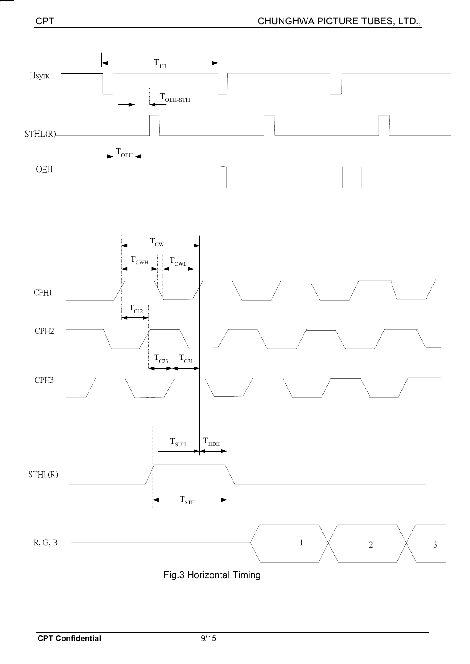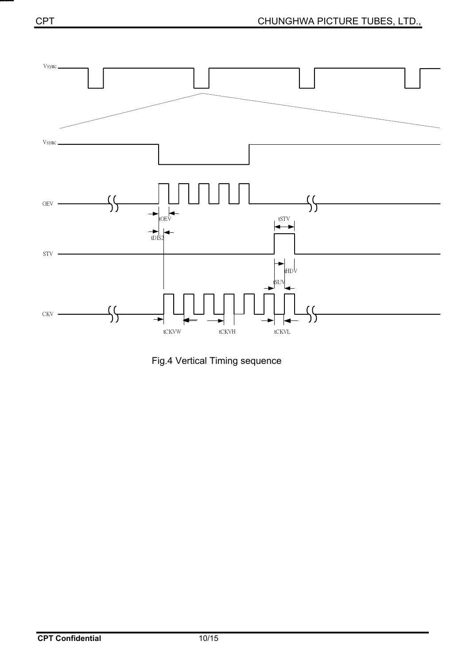

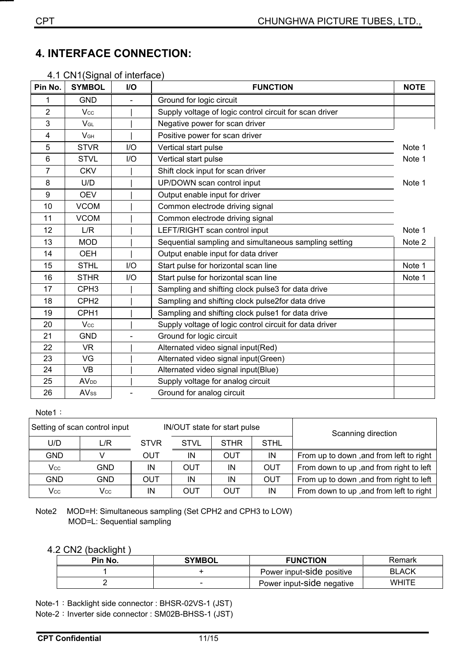|                |                        | 4. I GN I (Signal Of Interlace) |                                                         |             |  |
|----------------|------------------------|---------------------------------|---------------------------------------------------------|-------------|--|
| Pin No.        | <b>SYMBOL</b>          | I/O                             | <b>FUNCTION</b>                                         | <b>NOTE</b> |  |
| 1              | <b>GND</b>             |                                 | Ground for logic circuit                                |             |  |
| $\overline{2}$ | Vcc                    |                                 | Supply voltage of logic control circuit for scan driver |             |  |
| 3              | $V_{GL}$               |                                 | Negative power for scan driver                          |             |  |
| 4              | V <sub>GH</sub>        |                                 | Positive power for scan driver                          |             |  |
| 5              | <b>STVR</b>            | 1/O                             | Vertical start pulse                                    | Note 1      |  |
| 6              | <b>STVL</b>            | I/O                             | Vertical start pulse                                    | Note 1      |  |
| 7              | <b>CKV</b>             |                                 | Shift clock input for scan driver                       |             |  |
| 8              | U/D                    |                                 | UP/DOWN scan control input                              | Note 1      |  |
| 9              | <b>OEV</b>             |                                 | Output enable input for driver                          |             |  |
| 10             | <b>VCOM</b>            |                                 | Common electrode driving signal                         |             |  |
| 11             | <b>VCOM</b>            |                                 | Common electrode driving signal                         |             |  |
| 12             | L/R                    |                                 | LEFT/RIGHT scan control input                           | Note 1      |  |
| 13             | <b>MOD</b>             |                                 | Sequential sampling and simultaneous sampling setting   | Note 2      |  |
| 14             | <b>OEH</b>             |                                 | Output enable input for data driver                     |             |  |
| 15             | <b>STHL</b>            | I/O                             | Start pulse for horizontal scan line                    | Note 1      |  |
| 16             | <b>STHR</b>            | I/O                             | Start pulse for horizontal scan line                    | Note 1      |  |
| 17             | CPH <sub>3</sub>       |                                 | Sampling and shifting clock pulse3 for data drive       |             |  |
| 18             | CPH <sub>2</sub>       |                                 | Sampling and shifting clock pulse2for data drive        |             |  |
| 19             | CPH <sub>1</sub>       |                                 | Sampling and shifting clock pulse1 for data drive       |             |  |
| 20             | Vcc                    |                                 | Supply voltage of logic control circuit for data driver |             |  |
| 21             | <b>GND</b>             |                                 | Ground for logic circuit                                |             |  |
| 22             | <b>VR</b>              |                                 | Alternated video signal input(Red)                      |             |  |
| 23             | VG                     |                                 | Alternated video signal input(Green)                    |             |  |
| 24             | <b>VB</b>              |                                 | Alternated video signal input(Blue)                     |             |  |
| 25             | <b>AV<sub>DD</sub></b> |                                 | Supply voltage for analog circuit                       |             |  |
| 26             | <b>AVss</b>            |                                 | Ground for analog circuit                               |             |  |

#### 4.1 CN1(Signal of interface)

#### Note1:

| Setting of scan control input |      | IN/OUT state for start pulse |             |             |             | Scanning direction                      |  |
|-------------------------------|------|------------------------------|-------------|-------------|-------------|-----------------------------------------|--|
| U/D                           | L/R  | <b>STVR</b>                  | <b>STVL</b> | <b>STHR</b> | <b>STHL</b> |                                         |  |
| <b>GND</b>                    |      | OUT                          | IN          | <b>OUT</b>  | IN          | From up to down, and from left to right |  |
| Vcc                           | GND. | IN                           | OUT         | ΙN          | OUT         | From down to up, and from right to left |  |
| <b>GND</b>                    | GND. | OUT                          | IN          | IN          | <b>OUT</b>  | From up to down, and from right to left |  |
| Vcc                           | Vcc  | ΙN                           | OUT         | OUT         | IN          | From down to up, and from left to right |  |

Note2 MOD=H: Simultaneous sampling (Set CPH2 and CPH3 to LOW) MOD=L: Sequential sampling

#### 4.2 CN2 (backlight )

| Pin No. | <b>SYMBOL</b> | <b>FUNCTION</b>           | Remark       |
|---------|---------------|---------------------------|--------------|
|         |               | Power input-Side positive | <b>BLACK</b> |
|         | $\sim$        | Power input-side negative | <b>WHITE</b> |

Note-1: Backlight side connector : BHSR-02VS-1 (JST)

Note-2: Inverter side connector : SM02B-BHSS-1 (JST)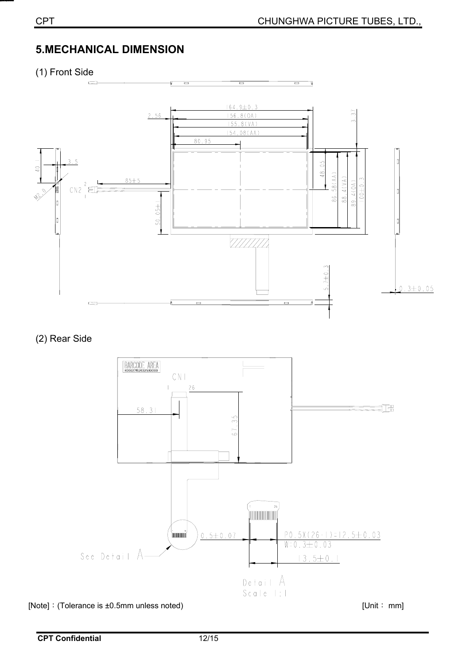# **5.MECHANICAL DIMENSION**

(1) Front Side



(2) Rear Side

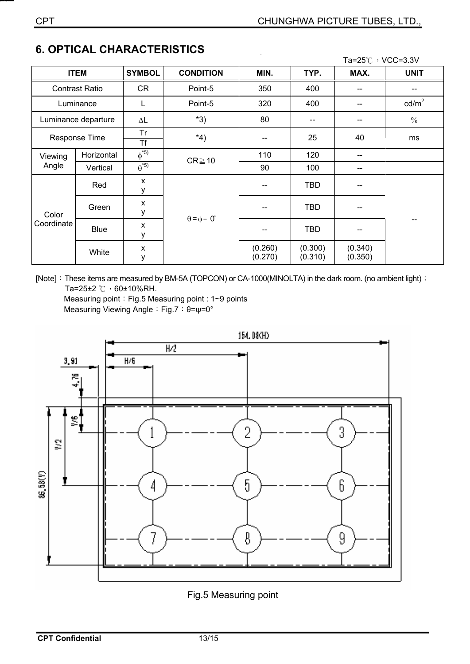|                     |                       |                     |                             |                    |                    | Ta=25℃, VCC=3.3V   |                 |
|---------------------|-----------------------|---------------------|-----------------------------|--------------------|--------------------|--------------------|-----------------|
|                     | <b>ITEM</b>           | <b>SYMBOL</b>       | <b>CONDITION</b>            | MIN.               | TYP.               | MAX.               | <b>UNIT</b>     |
|                     | <b>Contrast Ratio</b> | <b>CR</b>           | Point-5                     | 350                | 400                |                    |                 |
|                     | Luminance             | L                   | Point-5                     | 320                | 400                | --                 | $\text{cd/m}^2$ |
|                     | Luminance departure   | $\Delta \mathsf{L}$ | $*3)$                       | 80                 | --                 | --                 | $\frac{0}{0}$   |
|                     | Response Time         | Tr<br><b>Tf</b>     | $*_{4}$                     | --                 | 25                 | 40                 | ms              |
| Viewing<br>Angle    | Horizontal            | $\phi^{*5}$         | $CR \ge 10$                 | 110                | 120                | --                 |                 |
|                     | Vertical              | $\theta^{*5}$       |                             | 90                 | 100                | --                 |                 |
| Color<br>Coordinate | Red                   | X<br>у              | $\theta = \phi = 0^{\circ}$ |                    | <b>TBD</b>         | --                 |                 |
|                     | Green                 | X<br>у              |                             |                    | <b>TBD</b>         | --                 |                 |
|                     | <b>Blue</b>           | X<br>у              |                             |                    | <b>TBD</b>         | --                 |                 |
|                     | White                 | X<br>у              |                             | (0.260)<br>(0.270) | (0.300)<br>(0.310) | (0.340)<br>(0.350) |                 |

## **6. OPTICAL CHARACTERISTICS**

[Note]: These items are measured by BM-5A (TOPCON) or CA-1000(MINOLTA) in the dark room. (no ambient light) : Ta=25±2  $\degree$ C  $\degree$  60±10%RH.

Measuring point: Fig.5 Measuring point : 1~9 points Measuring Viewing Angle: Fig.7: θ=ψ=0°



Fig.5 Measuring point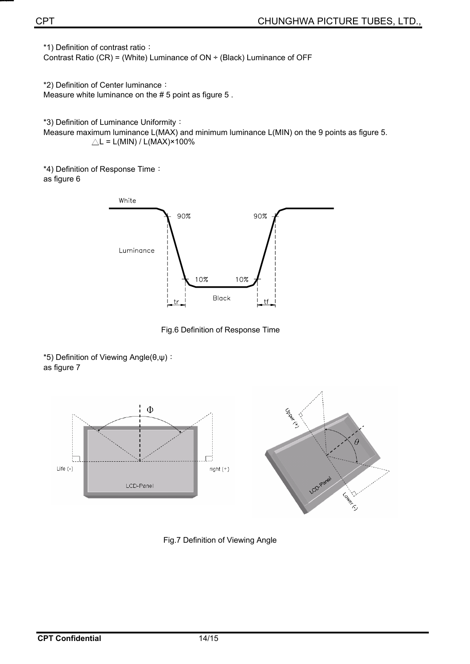\*1) Definition of contrast ratio:

Contrast Ratio (CR) = (White) Luminance of  $ON \div$  (Black) Luminance of OFF

\*2) Definition of Center luminance: Measure white luminance on the # 5 point as figure 5 .

\*3) Definition of Luminance Uniformity:

Measure maximum luminance L(MAX) and minimum luminance L(MIN) on the 9 points as figure 5.  $\triangle L = L(MIN) / L(MAX) \times 100\%$ 

\*4) Definition of Response Time: as figure 6



Fig.6 Definition of Response Time

\*5) Definition of Viewing Angle( $\theta, \psi$ ): as figure 7